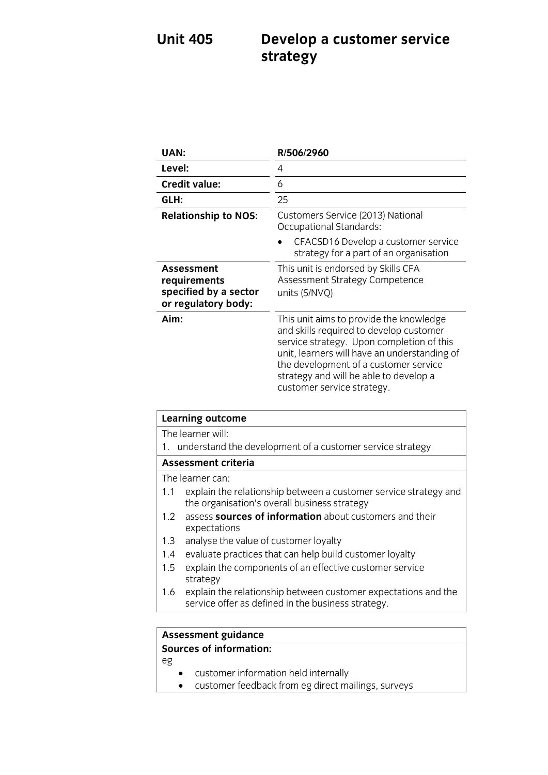## **Unit 405 Develop a customer service strategy**

| <b>UAN:</b>                                                                       | R/506/2960                                                                                                                                                                                                                                                                                       |
|-----------------------------------------------------------------------------------|--------------------------------------------------------------------------------------------------------------------------------------------------------------------------------------------------------------------------------------------------------------------------------------------------|
| Level:                                                                            | 4                                                                                                                                                                                                                                                                                                |
| <b>Credit value:</b>                                                              | 6                                                                                                                                                                                                                                                                                                |
| GLH:                                                                              | 25                                                                                                                                                                                                                                                                                               |
| <b>Relationship to NOS:</b>                                                       | Customers Service (2013) National<br>Occupational Standards:                                                                                                                                                                                                                                     |
|                                                                                   | CFACSD16 Develop a customer service<br>strategy for a part of an organisation                                                                                                                                                                                                                    |
| <b>Assessment</b><br>requirements<br>specified by a sector<br>or regulatory body: | This unit is endorsed by Skills CFA<br>Assessment Strategy Competence<br>units (S/NVQ)                                                                                                                                                                                                           |
| Aim:                                                                              | This unit aims to provide the knowledge<br>and skills required to develop customer<br>service strategy. Upon completion of this<br>unit, learners will have an understanding of<br>the development of a customer service<br>strategy and will be able to develop a<br>customer service strategy. |

| <b>Learning outcome</b>                                                                                                     |  |
|-----------------------------------------------------------------------------------------------------------------------------|--|
| The learner will:                                                                                                           |  |
| 1. understand the development of a customer service strategy                                                                |  |
| <b>Assessment criteria</b>                                                                                                  |  |
| The learner can:                                                                                                            |  |
| explain the relationship between a customer service strategy and<br>1.1<br>the organisation's overall business strategy     |  |
| assess sources of information about customers and their<br>1.2 <sub>1</sub><br>expectations                                 |  |
| analyse the value of customer loyalty<br>1.3                                                                                |  |
| evaluate practices that can help build customer loyalty<br>1.4                                                              |  |
| explain the components of an effective customer service<br>$1.5\,$<br>strategy                                              |  |
| explain the relationship between customer expectations and the<br>1.6<br>service offer as defined in the business strategy. |  |
|                                                                                                                             |  |
| <b>Assessment guidance</b>                                                                                                  |  |

### **Assessment guidance Sources of information:**

- eg
	- customer information held internally
	- customer feedback from eg direct mailings, surveys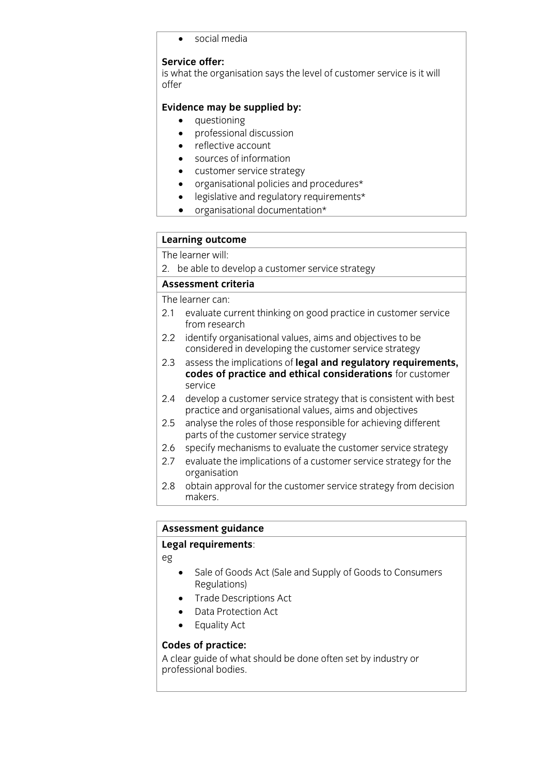social media

## Service offer:

**S** what the ord  $\int$  offer

- 
- **Evidence may** be supplied by:<br> **•** questioning<br>
professional discussion professional discussion
	- reflective account
	- sources of information
	- customer service strategy
	- organisational policies and procedures\*
	- legislative and regulatory requirements\*<br>•  $\alpha$  organisational documentation\*
	- organisational documentation\*

# **Learning outcome**

2. be able to develop a customer service strategy

### Assessment criteria

The learner can:

- 2.1 evaluate current thinking on good practice in customer service from research
- 2.2 identify organisational values, aims and objectives to be considered in developing the customer service strategy
- assess the implications of legal and regulatory requirements.  $2.3$ z.3 **codes of practice and ethical considerations** for customer **codes of practice and ethical considerations** for customer
- 2.4 develop a customer service strategy that is consistent with best practice and organisational values, aims and objectives
- $2.5$ analyse the roles of those responsible for achieving different parts of the customer service strategy
- 2.6 specify mechanisms to evaluate the customer service strategy
- 2.7 evaluate the implications of a customer service strategy for the organisation
- organisation<br>Optain annec  $2.8$ 2.8 obtained for the customer service strategy from decision strategy from decision strategy from decision strategy from decision strategy from decision strategy from decision strategy from decision strategy from decision makers.

# **Assessment guidance**

## **Legal requirements**:

eg

- Sale of Goods Act (Sale and Supply of Goods to Consumers<br>Regulations)
- Trade Descriptions Act
- Data Protection Act<br>• Equality Act
- Equality Act

**Codes of practice:**<br>A clear guide of what should be done often set by industry or professional bodies. professional bodies.